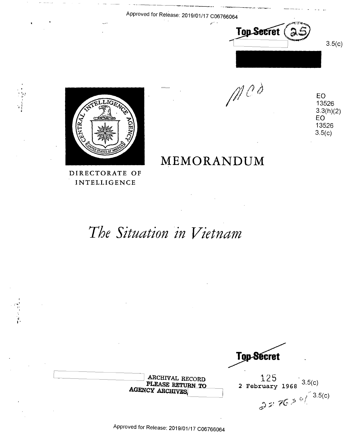Approved for Release: 2019/01/17 C06766064

~--~~------- ··---~-



 $\mathcal{O}$ 



**DIRECTORATE OF**  DIRECTORAIE OF **INTELLIGENCE**  INTELLIGENCE

 $\sim$   $\sim$ 

ARCHIVAL RECORD  $125$ <br>PLEASE RETURN TO 2 February 1968 <sup>3.5</sup>(c)  $e^{2\pi i \pi}$   $e^{8\pi i (1-3.5)(0)}$ Approved for Release: 2019/01/17 C06766064 Approved for Release: 2019/01/17 <sup>006766064</sup>Top-Secret AGENCY ARCHIVES  $\begin{bmatrix} 2 & February & 1968 & 3.5(c) \\ & & & & 3.5(c) \\ & & & & \end{bmatrix}$ 

EO E0 13526 13526 3.3(h)(2<br>EO EO 13526 13526 3.5(c) 3.5(0)

**MEMORANDUM**  MEMORANDUM

The Situation in Vietnam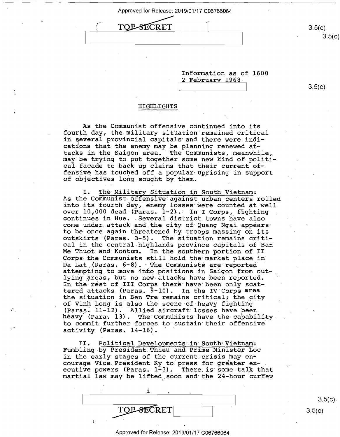I

Approved for Release: 2019/01/17 C06<br>TOP-SECRET TOP-SECRET

Information as of 1600 Information as of 1600 2 February 1968· 2 Februarv 1968-

3.5(c) 3.5(0)

 $3.5(c)$ 

3.5(c)

#### **HIGHLIGHTS**  HIGHLIGHTS

As the Communist offensive continued into its As the Communist offensive continued-into its fourth day, the military situation remained critical in ~everal provincial capitals·and there were indi-in several provincial capitals and there were indications that the enemy may be planning renewed at-cations that the enemy may be planning renewed at tacks in the Saigon area. The Communists, meanwhile, tacks in the Saigon area. The Communists, meanwhile, may be trying to put together some new kind of politi-may be trying to put together some new kind of-politi cal facade to back up claims that their current of-cal facade to back up claims that their current of— The fensive of the second off a popular uprising in support  $f$ of objectives long -sought by them. of objectives long sought by them.

I. The- Military Situation. in South Vietnam: I. The Military Situation in South Vietnam: As the Communist offensive against urban centers rolled As the Communist Offensive against uiban centers forled<br>into its fourth day, enemy losses were counted at well over 10,000 dead (Paras. 1-2). In I Corps, fighting continues in Hue. Several district towns have also continues in Hue. .Several district towns have also come under. attack and.the. city of· Quang Ngai appears· come under attack and the.city of Quang Ngai appearsto be once again threatened by troops massing on its to be once again threatened by tr00ps maesing on its outskirts '(Paras. 3-5). The situation remains criti-outskirts (Paras. 3—5). The situation remains criti cal in the central highlands province capitals of Ban cal in the central highlands province capitals of Ban out in the central highlands province capitals of Banks and Kontum. In the southern portion of II Corps the Communists still hold the•market piace in Corps the Communists still hold the market place in. Da Lat (Paras. 6-8). The Communists are reported attempting to move into positions in Saigon from outlying areas, but no new. attacks· have been reported. lying areas, but no new attaCRS'haVe been reported. In the rest of III Corps therehave·been only scat-In the rest of III Corps there have been only scattered attacks (Paras. 9-10). In the IV Corps area tered attacks (Paras. 9-10). In the IV Corps area the situation *in* Ben Tre remains critical; the city the situation in Ben Tre remains critical; the\_city of Vinh Long is also the scene of heavy fighting of Vinh Long is also the scene of heavy fighting (Paras. 11-12). Allied aircraft losses have been heavy· (Para. 13). The· Communists have the capability. heaVy (Para. 13). The Communists have the capability. to commit further forces to sustain their offensive activity (Paras. 14-16). activity (Paras. 14-16). '

II. Political Developments in South Vietnam: Fumbling by President Thieu and Prime Minister Loc in the early stages of the current crisis may enmore cally be you allow callend called may on the courage Vice President Ky to press for greater executive powers (Paras. 1-3). There is some talk that martial law may be lifted.soon and· the 24-hour curfew martial law may be lifted sOon and the 24-hour curfew

; in the set of  $\mathbf{1}$  in the set of  $\mathbf{1}$  in the set of  $\mathbf{1}$ 

 $3.5(c)$  $3.5(c)$  $3.5(c)$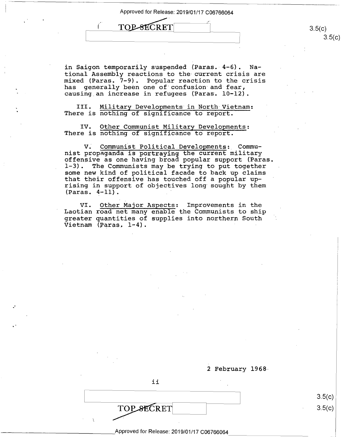TOP-SECRET E TOPSECRET 3.5(c)

 $3.5(c)$  $3.5(c)$ 

in Saigon temporarily suspended (Paras. 4-6). National Assembly reactions to the current crisis are tional Assembly reactions to the current crisis are mixed (Paras. 7-9). Popular reaction to the crisis mixed (Paras. 7—9). P0pular reaction to the crisis has generally been one of·confusion· and fear, has generally been one of'confusion and fear, causing.an increase in refugees (Paras. 10-12). causing\_an increase in refugees (Paras. 10-12).

III. Military Developments in North Vietnam: There is nothing of significance to report.

IV. Other Communist Military Developments: IV. Other Communist Military Developments: There is nothing of significance to report.

V. Communist Political.Developments:\_ Commu-V. Communist Political.DevelOpments:, Commu nist propaganda is portraying the current military nist propaganda is portraying the current military offensive as one having broad popular support (Paras. offensive as one having broad pOpular support (Paras. 1-3). The Communists may be trying to put together 1—3). The Communists may be trying to put together 1 5, The communices  $\lim_{t \to \infty} \frac{1}{t}$  be crying to put edgether that their offensive has touched off a popular up-that their offensive has touched off <sup>a</sup> popular up rising in support of objectives long· sought by them rising in support of objectives long sought by them (Paras. 4-11) . (Paras. 4—11). '

VI. Other Major Aspects: Improvements in the VI. Other Major Aspects: Improvements in the Laotian road net many enable the Communists to ship Laotian road net many enable the Communists.to ship greater quantities of supplies into northern South greater quantities of supplies into northern South vietnam (Paras, 1–4).

2 February 1968 2 February l968~

*ii*  ii

TOP SECRET

 $3.5(c)$  $3.5(c)$ 

# \_\_\_\_\_\_\_\_\_\_\_\_\_\_\_\_ Approved for Release: 2019/01/17 C06766064 Approved for Release: 2019/01/17 006766064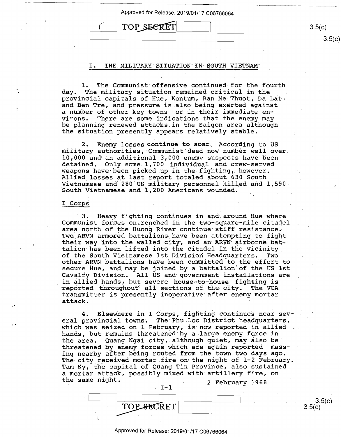Approved for Release: 2019/01/17 C06766064<br>
(TOP\_SECRET

3.5(c)

3.5(c)

 $3.5(c)$ <br>3.5(c)

 $3.5(c)$ 

## I. THE MILITARY SITUATION IN SOUTH VIETNAM

1. The C9mmunist offensive· continued for the fourth l. The Communist offensive continued-for the fourth day. The military situation remained critical in the day. The military situation remained critical in the any. The millionly brandeler remained enreaded in the provincial capitals of Hue, Kontum, Ban Me Thuot, Da Lat and Ben Tre, and pressure is also·being exerted against and Ben Tre, and pressure is also being exerted against a number of other key towns or in their immediate environs. There are some indications that the enemy may virons. There are some indications that the enemy may be planning renewed attacks.in the Saigon area although be planning renewed attacks in the Saigon area although the situation presently appears relatively stable. the situation presently appears relatively stable.

2. Enemy losses continue to soar. According to US military authorities, Communist dead now number well over. 10,000 and an additional 3,000 enemv suspects have been detained. Only some 1,700 individual and crew-served weapons have been picked up in the fighting, however. Allied. losses at last report totaled about 630 South Allied losses at last report totaled about 630 South, Wietnamese and 280 US military personnel killed and 1,590 South Vietnamese and 1,200 Americans wounded.

### I **Corps**  I Corps

3. Heavy fighting continues in and· around Hue where 3. Heavy fighting continues in and around Hue where Communist forces entrenched in the two-square-mile citadel area north of the Huong River continue stiff resistance. II of nor an or the nating nation content of the reservance. Incomplete bacallicity have been decomposing to light talion has been lifted into the citadel in the vicinity of the South Vietnames·e. 1st Division Headquarters. Two of the South Vietnamese.lst Division Headquarters. Two of the bouth victnamest ist bivision headquarters. Include the effort to secure Hue, and may be joined by a battalion=of the US 1st secure Hue, and\_may be joined by <sup>a</sup> battalion of the US ISt  $\frac{1}{2}$  cavalry Division. All US and government installations are diverty bivision. This of and government included to the distribution of in allied hands, but severe house-to-house fighting is<br>reported throughout all sections of the city. The VOA transmitter is•presently inoperative· after enemy mortar transmitter.is presently.inoperative after enemy mortar diamond to the presence in the properties of the change in attack. reported throughout all sections of the city. The VOA

4. Elsewhere in I. Corps, fighting continues near sev-4. Elsewhere in I.Corps, fighting continues near sev eral provincial towns. The Phu Loc District headquarters, which was seized on 1 February, is· now: reported in allied which was seized on 1 February, is now reported in allied hands, but remains threatened by a large enemy force in ndinas, suc remains enreacence by a rairy enemy reree in threatened by enemy forces which are again reported mass-threatened by enemy forces which are again reported massing nearby after being routed from the town two days ago. ing nearby after being routed from the town two days ago. Ing nearby dream being readed from the commons days age.<br>The-city received mortar fire on the night of 1-2 February. Tam Ky, the capital of Quang Tin Province, also sustained Tam Ky, the capital of Quang.Tin Province, also sustained a mortar attack, possibly mixed-with· artillery fire, on <sup>a</sup> mortar attack, possibly mixed with artillery fire, on the same night. 2 February 1968

**TOP SECRET** 

 $I-1$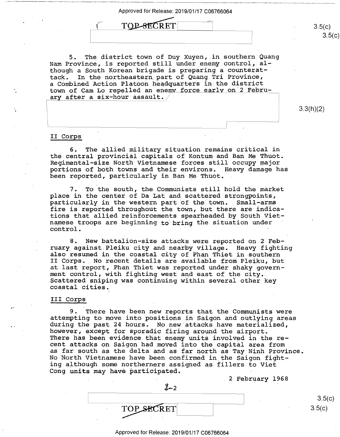Approved for Release: 2019/  $1 \tTOP-SECTION \t3.5(c)$ 

5. The district town. of Duy Xuyen, .in soµthern Quang 5. The district town of Duy Xuyen, in southern'Quang 3. The district town of Duy Auyen, in southern gua<br>Nam Province, is reported still under enemy control, although a South Korean brigade is preparing a counterat-though <sup>a</sup> South Korean brigade is preparing <sup>a</sup> counterattack. In the northeastern\_ part of Quang Tri Province, tack. In the-northeastern\_part of Quang Tri Province, a Combined Action Platoon headquarters in.the district <sup>a</sup> Combined Action Platoon headquarters in the district d comments notice in a repeatment of the contract of Cam Lo repelled an enemy force early on 2 February after a six-hour assault.

3.3(h)(2) 3.3(h)(2)

 $3.5(c)$ 

3.5(c)

 $3.5(c)$ 

 $3.5(c)$ 

### II Corps· II Corps' '

6. The allied military situation remains critical in 6. The allied military situation remains critical in the central provincial capitals of Kontum and Ban Me Thuot. the-central provincial capitals of Kontum and Ban Me Thuot. the central provincial capitals of Rontum and Ban Me Indot.<br>Regimental-size North Vietnamese forces still occupy major portions of both towns and their environs. Heavy damage has portions of both towns and their environs. Heavy damage.has been reported, particularly in Bari Me Thuot. been reported, particularly in Ban Me-Thuot. '

I

7. To the south, the Communists still hold the market 7. To the south, the Communists still hold the market place in the center of Da Lat and scattered strongpoints, place in the center of Da Lat and scattered strongpoints, particularly in the western part of the town. Small-arms fire is reported throughout the town, but there are indica-fire is.reported throughout the town, but there are indications that allied reinforcements spearheaded by South Viet-tions that allied reinforcements spearheaded by South Vietnamese troops are beginning to bring the situation under namese troops are beginning to bring the situation under<br>control. control. 'and the state of the state of the state of the state of the state of the state of

8. New battalion-size attacks were reported on 2 February against.Pleiku city and nearby village. Heavy fighting ruary against.Pleiku city and nearby village. Heavy fighting also resumed in the coastal city of Phan Thiet in southern also resumed in the coastal city of Phan Thiet in.southern II Corps. No recent details are available from Pleiku, but II Corps. No recent details are available from Pleiku, but at last report, Phan Thiet was reported under shaky govern-at.last report, Phan Thiet was reported under Shaky govern ment control, with fighting west and east of the city. ment contrbl, with fighting west and east of the city.. Scattered sniping was continuing within several other key Scattered sniping was continuing within several other key coastal cities. coastal cities.

### III **Corps**  III'Corps

9. There have been new reports that the Communists were 9. There have been new reports that the Communists were attempting to move into positions in Saigon and outlying areas attempting to move into positions in Saigon and outlying areas during the past 24 hours. No new·attacks have materialized, during the past 24 hours. No new attacks have materialized, however, except for sporadic firing around the airport. however, except for sporadic firing around the airport. ' There has been evidence that enemy units involved in the re-There has been evidence that enemy units involved in the re cent attacks on Saigon had moved into the capital area from cent attacks on Saigon had moved into the capital area from as far south as the delta and as far ~orth as Tay Ninh Province. as far south as the delta and as far north as Tay Ninh Province. No North Vietnamese have been confirmed in\_the Saigon fight-No North Vietnamese have been confirmed in\_the Saigon fight no north victimiese have been confirmed in the Sargon france ing although some northerners assigned as fillers to Viet and when age being iterations abougated as principal of  $\frac{1}{2}$ .

 $J=2$ 

2 February 1968

TOP SECRET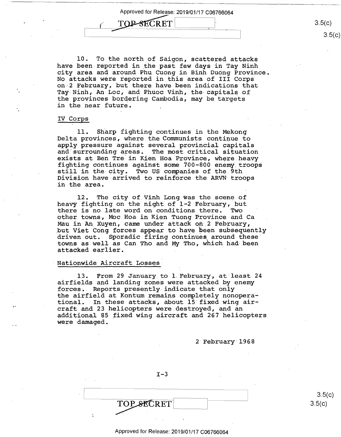Approved for Release: 2019/01/17 C06766064 Approved for Release: 2019/01/17 006766064 Approved for Release: 2019<br>
TOP-SECRET

 $\overline{\phantom{a}}$  , and the contract of the contract of the contract of the contract of the contract of the contract of the contract of the contract of the contract of the contract of the contract of the contract of the contrac

10. To the north of Saigon, scattered attacks 10. To the north of Saigon, scattered attacks have been reported in the past few days in Tay Ninh city area and around Phu Cuong in Binh Duong Province. city area and around Phu Cuong in Binh DuOng Province. No attacks were reported in this area of III Corps No attacks were reported in this area of III Corps on-2 February, but there have been indications that ons2 February, but there have.been indications that Tay-Ninh, An Loe, and Phuoc Vinh, the capitals 0£ Tay-Ninh, An Loc, and Phuoc Vinh, the-capitals of the provinces bordering Cambodia, may be targets the prOVinces bordering Cambodia, may be targets in the near future.

### IV Corps IV Corps

11. sharp fighting continues in the Mekong ll. Sharp fighting continues in the Mekong Del ta provinces, where the Communists continue to Delta provinces,-where\_the Communists continue to apply pressure against several provincial capitals apply pressure against several provincial capitals and·surrounding areas. The most critical sii:uation and surrounding areas. The most critical situation exists at Ben Tre· in Kien Hoa Province, where heavy exists at Ben Tre-in Kien Hoa Province, where heavy fighting continues against some 700-800 enemr. troops fighting continues against some 700-800 enemy troops still ·in the- city. Two US companies of the 9th still in the-city. Two US companies of the 9th Division have arrived to reinforce the ARVN troops Division have-arrived to reinforce the-ARVN trOOps in-the area. in-the area.

12. The city of Vinh Long was the scene of 12. The city of Vinh Long Was the scene of heavy fighting on the night of 1-2 February, but heavy fighting on the night of 1-2 February, but there is no late word on conditions there. Two there is no.1ate word on conditions there. Two other towns, Moc Hoa in Kien Tuong Province and Ca Mau in An Xuyen, came under attack on\_2 February, Mau in An\_Xuyen, came under attack on32 February, but Viet Cong forces appear to have been subsequently add vict cong icross appear to have seen sassequency towns as well as Can Tho and My Tho, which had been attacked earlier. attacked earlier.

### Nationwide Aircraft Losses 'Nationwide Aircraft Losses:

13. From 29 January to 1. February, at· least 24 13. From 29 January to l.February, at least 24 airfields and landing zones were attacked by enemy airfields and landing zones were attacked by enemy forces~- Reports presently indicate that only forces.- Reports presently indicate that only the airfield at Kontum remains completely nonopera-the airfield at Kontum remains completely nonoperational. In these attacks, about is· fixed wing air-tional. In these attacks, about.15'fixed wing aircraft. and 23 helicopters were.destroyed, and an craft and 23 helicopters were.destroyed, and an additional 85 fixed wing aircraft and 267 helicopters additional 85 fixed wing aircraft and 267 helicopters were damaged. were damaged.

2 February 1968

 $I-3$  $\overline{\phantom{a}}$  3.5(c) TOPSECRET

 $3.5(c)$ 3.5(c)

#### Approved for Release: 2019/01/17 C06766064 Approved for Release: 2019/01/17 006766064

3.5(c) TOP-SECRET 3.5(c)  $3.5(c)$ 

 $3.5(c)$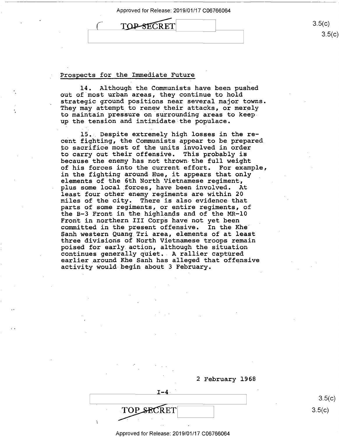

Prospects for the Immediate Future Prospects for the Immediate Future

14. Although the Communists have been pushed 14. Although the Communists have been pushed out of.most urban areas, they continue to hold out of most urban areas, they continue to hold strategic ground positions near several major towns. strategic ground positions near several major towns. They may attempt to renew their attacks, or merely They may attempt\_to renew their attacks, or merely to maintain pressure on surrounding areas to keep up the tension and intimidate the populace. up the tension and intimidate the p0pulace.

15. Despite extremely high losses in the re- 15.. Despite extremely high losses in the re cent fighting, the Communists appear to be prepared cent fighting, the Communists appear to be prepared. ~o sacrifice most of the units involved in order to sacrifice most of the units involved in order to carry out their offensive. This probably is to carry out their offensive. This probably is because the enemy has not thrown-the full weight because the enemy has not thrown the full weight of his forces into the current effort. For example, of his forces into the current effort. For example, in the fighting around Hue, it appears that only in the fighting around-Hue, it appears that only elements of the 6th North Vietnamese regiment-, elements of the 6th North.Vietnamese regiment, plus some local \_forces, have been involved. At plus some local\_forces, have been involved. At least four other enemy regiments are within 20 least four other enemy regiments are within 20 miles of the city. There is also evidence that miles of the city. There is also evidence-that parts of some regiments, or entire regiments, of parts of some regiments, or entire regiments, of the B-3 Front in the highlanqs and of the MR-10 the B—3 Front in the highlands and of the MR—lO end 5 J living in the inginiance and of the in-the second problem. committed in the present offensive. In the Khe Sanh western Quang Tri area, elements of at least Sanh western Quang Triarea, elements of at least three divisions of North Vietnamese troops remain three divisions of North Vietnamese troops remain poised for early. action, although the situation poised for early.action, although the situation continues generally quiet •. A rallier captured continues generally quiet.- A rallier captured earlier \_around Khe Sanh has alleged that offensive earlier\_around Khe Sanh has alleged that offensive activity would begin about 3 February. activity Would-begin about 3 February.

2 February 1968 2 February 1968

 $3.5(c)$ 3.5(c)  $TOP\_SECRET$  3.5(c)

Approved for Release: 2019/01/17 C06766064 Approved for Release: 2019/01/17 006766064

TOP SECRET

 $J-4$ 

 $3.5(c)$ 3.5(c)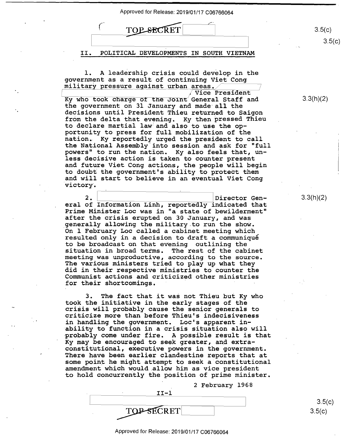



1. A leadership crisis could develop in the l. A leadership crisis could develop in the government as a result of continuing Viet Cong government as <sup>a</sup> result of continuing Viet Cong govornment as a resert or concruding vice

Vice President Vice President  $\overline{ky}$  who took charge of the Joint General Staff and the government on 31 January and made· all the the government on 31 January and made allthe decisions until President Thieu returned to Saigon decisions until President Thieu returned to Saigon from the delta that evening. Ky then pressed Thieu frOm the delta that evening. Ky then pressed Thieu to declare martial law.-and also to use the op-to declare martial law and also to use the opportunity to press for full mobilization of the portunity to press for full mobilization of the nation. Ky reportedly urged the president to call nation- Ky reportedly urged the president to call the National Assembly.into session and ask for "full the National Assembly into session and ask for "full powers" to run the nation. Ky also feels that, un-powers" to run the nation. Ky also feels that, unpowers to run one nation. My also feels onat, an and future Viet Cong actions, the people will begin and future Viet Cong actions, the people will begin to doubt the government's ability to protect them to doubt the government's ability to proteCt them and will start to believe in an eventual Viet Cong and will start to believe in an eventual Viet Cong victory·. 'victory.

2. Director Gen-<br>
eral of Information Linh, reportedly indicated that Prime Minister Loe was in "a state of bewilderment" Prime Minister Loc was in "a state ofbewilderment" after the crisis erupted on 30 January, and was after the crisis erupted on 30 January, and was generally allowing the military.to run the show. .generally allowing the military.to run the show. On 1 February Loe called a cabinet meeting which On 1 February Loc called <sup>a</sup> cabinet meeting which resulted only in a decision to draft a communique resulted only in <sup>a</sup> decision to draft <sup>a</sup> communiqué to be broadcast on that evening outlining the to be broadcast on that evening outlining the situation in broad terms. The rest of the cabinet situation in broad terms. The rest of the cabinet meeting was unproductive, according to the source. meeting was unproductive, according to the source. meeting was amproductive, according to the source.<br>The various ministers tried to play up what they did in their respective ministries to counter the did in their respective ministries to counter the Communist actions and criticized other ministries Communist actions and criticized other ministries for their shortcomings. for their shortcomings. 2. Director Gen-

3. The fact that it was not Thieu but Ky who 3. The fact that it was not Thieu but Ky who took the initiative in the early stages of the took the initiative in the early stages of the cook the inflictive in the early stages of the cook the inflictious control of the senior generals to criticize more than before Thieu's indecisiveness criticize more than before Thieu's indecisiveness in handling the government. Lee's apparent in-in handling the government. Loc's apparent in ability to function in a crisis situation also will 'ability to function in <sup>a</sup> crisis situation also will ability to function in a crisis situation also will probably come under fire. A possible result is that processing come enser incording possesse research and extra-<br>Ky may be encouraged to seek greater, and extraert and the constant of the second of the second constitutional, executive powers in the government. There have been earlier clandestine reports that at There have been earlier clandestine reports that at some point he might attempt to seek a constitutional some point he might attempt to seek <sup>a</sup> constitutional amendment which would .allow him as vice president amendment which would allow him as vice president to hold concurrently the position of prime minister. to hold concurrently the position of prime minister.

2 February 1968 \_ 2 February 1968

| ו-דד       |  |
|------------|--|
|            |  |
| TOP-SECRET |  |

 $3.5(c)$  $3.5(c)$ 

3.3(h)(2) 3.3(h)(2)

3.3(h)(2) 3.3(h)(2)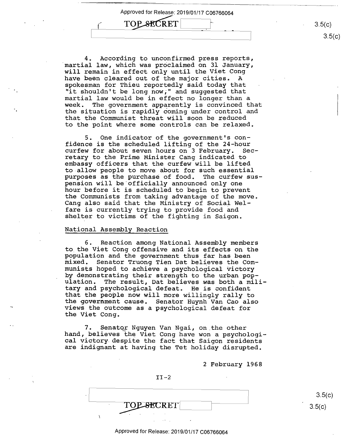Approved for Release: 2019/01/17 C06766064 Approved for Release: 2019<br>
TOP SECRET Approved for Release: 2019/01/17 006766064

4. According to unconfirmed press reports, 4. According to unconfirmed press reports, martial law, which was proclaimed on 31 January, will remain in effect only until the Viet Cong will remain in effect only until the Viet Cong have been cleared out of the major cities. A have been cleared out of the major cities. A spokesman for Thieu reportedly said today that spokesman for Thieu reportedly said today that "it shouldn't be long now;" and suggested that "it shouldn't be long now," and suggested that martial law would be in effect no longer than a martial law would be in effect no longer than <sup>a</sup> week. The government apparently is convinced that week. The government apparently is convinced that the situation is rapidly coming under control and the situation is rapidly coming under control and that the Communist threat will soon be reduced that the Communist threat will soon be reduced to the point where some controls can be relaxed. to the point where some controls can be relaxed.

5. One indicator of the government's con-5. One indicator of the government's con fidence is the scheduled lifting of the 24-hour fidence is the scheduled lifting of the 24—hour curfew for about seven hours on 3 February. Sec-curfew for about seven hours on 3 February. Sec retary to the Prime Minister Cang indicated to retary to the Prime Minister Cang indicated to embassy officers that the curfew will be lifted embassy officers that the curfew will be lifted to-allow people to move about for such essential to-allow people to move about for such essential purposes as the purchase of food. The curfew sus-purposes as the purchase of food. The curfew sus pension will be.officially announced only one pension will be'officially announced only one hour before it is scheduled to begin to prevent hour before it is scheduled to begin to prevent the Communists from taking advantage of the move. the Communists from taking advantage of the move. Cang also said that the Ministry of Social Wel-Cang also said that the Ministry of Social Wel fare is currently trying to provide food and fare is currently trying to provide food and shelter to victims of the fighting in Saigon. shelter to victims Of the fighting in Saigon.

### National Assembly Reaction National Assembly Reaction

6. Reaction among National Assembly members 6. Reaction among National Assembly members to the Viet Cong offensive and its effects on the population and the government thus far has been population and the government thus far has been mixed. Senator Truong Tien Dat beli\_eves the Com-mixed. Senator Truong Tien Dat believes the Com munists hoped to achieve a psychological victory munists h0ped to achieve <sup>a</sup> psychological Victory manibed hoped as donieve a psychological victory<br>by demonstrating their strength to the urban population. The result, Dat believes was both a mili-ulation. The result, Dat believes was both <sup>a</sup> military and psychological defeat. He is confident tary and psychological defeat. He is confident that the people now will more willingly rally to that the people now will more willingly rally to the government cause. Senator Huynh Van Cao also the goVernment cause. Senator Huynh Van Cao also views the outcome as a psychological defeat for views the outcome as <sup>a</sup> psychological defeat for the Viet Cong. the Viet Cong.

7. Senatcg- Nguyen Van Ngai, on.the other 7. Senator Nguyen Van Ngai, on the other hand, believes the Viet Cong have won a psychological victory. despite the fact that Saigon residents cal victory despite the fact that Saigon residents are indignant at having the Tet holiday disrupted. are indignant at having the Tet holiday disrupted.

2 February 1968 2 February 1968

II-2 **TOP SECRET** 

 $3.5(c)$  $3.5(c)$ 

#### Approved for Release: 2019/01/17 C06766064 Approved for Release: 2019/01/17 006766064

3.5(c) 3.5(c)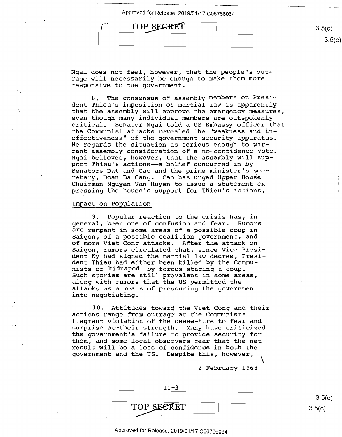| TOP SECRET | 3.5(c) |
|------------|--------|
|            |        |

Ngai does not feel, however, that the people's out-Ngai does not feel, however, that the people's out rage will necessarily be enough to make them more rage will necessarily be enough to make them more responsive to the government. responsive to the government.

8. The consensus of assembly members on President Thieu's imposition of martial law is apparently dent Thieu's imposition ofmartial law is apparently that the assembly will approve the emergency measures, that the assembly will approve the emergency measures, even though many individual members are outspokenly even though many individual members are outspokenly critical. Senator Ngai told a US Embassy officer that critical. Senator Ngai told <sup>a</sup> US EmbasSy officer that the Communist attacks revealed the "weakness and in-the Communist attacks revealed the "weakness and ineffectiveness" of-the government security apparatus. effectiveness" of the government security apparatus. He regards the situation as serious enough to war-He regards the situation as serious enough to warrant assembly consideration of a no-confidence vote. rant assembly consideration of<sup>a</sup> no—confidence vote. Ngai believes, however, that the assembly will sup-Ngai believes, however, that the assembly will support Thieu's actions--a belief concurred in by port Thieu's actions-—a belief concurred in by Senators Dat and Cao and the prime minister's sec-Senators Bat and Cao and the prime minister's sec penators bat and one and the prime minibect b bee<br>retary, Doan Ba Cang. Cao has urged Upper House Chairman Nguyen Van Huyen to issue a statement ex-Chairman Nguyen Van Huyen to issue <sup>a</sup> statement ex pressing the house's support for Thieu's actions. pressing the house's support for Thieu's actions.

### Impact on Population

9. Popular reaction to the crisis has, in 9. Popular reaction to the crisis has, in general, been one of confusion and fear. Rumors general, been one of confusion and fear. Rumors are rampant in some areas of a possible coup in are rampant in some areas of <sup>a</sup> possible coup in Saigon, of a possible coalition government, and Saigon, of <sup>a</sup> possible coalition government, and of more Viet Cong attacks. After the attack on of more Viet Cong attacks. After the attack on Saigon, rumors circulated that, since Vice Presi-Saigon, rumors circulated that, since Vice Presi dent Ky had signed the martial law decree, Presi-dent Ky had signed the martial law decree, Presi dent.Thieu had either been killed by the Commu-dent Thieu had either been killed by the Commu nists. or "kidnaped . by forces staging a coup. nists.or kidnaped ,by forces staging <sup>a</sup> coup. Such stories are still prevalent in some areas, Such stories are still prevalent in.some areas, along with rumors that the US permitted the along with rumors that the US permitted the attacks as a means of pressuring the government attacks as <sup>a</sup> means of pressuring the government into negotiating. into negotiating.

·10. Attitudes toward, the Viet Cong and their 10. Attitudes toward the Viet Cong and their actions range from outrage at the Communists' actions range from outrage atthe Communists' flagrant violation of the cease-fire to fear and flagrant violation of the cease—fire to fear and riagiant violation of the odder file to four and<br>surprise at their strength. Many have criticized the government's failure to provide security for the government's failure to provide security for them, and some local observers fear that the net them, and some local observers fear that the net result will be a loss of confidence in both the result will be a loss of confidence in both the government and the US. Despite this, however, government and the US. Despite this, however,  $\setminus$ 

2 February 1968 2 February 1968

 $3.5(c)$ 

| $IT-3$     |        |
|------------|--------|
|            | 3.5(   |
| TOP SECRET | 3.5(c) |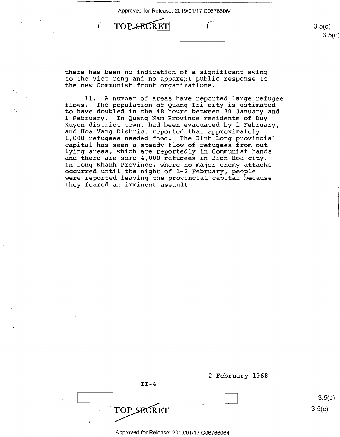| 3.5(c) |
|--------|
| 35/2   |
|        |

there has been no indication of a significant swing there has been no indication of <sup>a</sup> significant swing to the Viet Cong and no apparent· public response to to the Viet Cong and no apparent public response to the new Communist front organizations. the new Communist front organizations.

11. A number of areas have reported large refugee 11. A number of areas have reported large refugee flows. The population of Quang Tri city is estimated flows. The population of Quang Tri city is estimated<br>to have doubled in the 48 hours between 30 January and 1 February. In Quang Nam Province residents of Duy 1 February. In Quang Nam Province residents of Duy Xuyen district town, had been evacuated by 1 February, Xuyen district town, had been evacuated by <sup>1</sup> February, and Hoa Vang District reported that approximately and Hoa Vang District reported that approximately 1,000 refugees needed food. The Binh Long provincial 1,000 refugees needed food. The Binh Long provincial capital has seen a steady flow of refugees from out-capital has seen <sup>a</sup> steady flow of refugees from outlying areas, which are reportedly in Communist hands lying areas, which are reportedly in Communist hands and there are some 4,000 refugees in Bien Hoa city. and there are some 4,000 refugees in Bien Hoa city. In Long Khanh Province, where no major enemy attacks In Long Khanh Province, where no major enemy attacks occurred until the night of 1-2 February, peopl~ occurred until the night of l—2 February, people were reported leaving the provincial capital because were reported leaving the provincial capital because they feared an imminent assault. they feared an imminent assault. to have doubled in the 48 hours between 30 January and

|            | 2 February 1968 |
|------------|-----------------|
| $II-4$     |                 |
|            | 3.5(c)          |
| TOP SECRET | 3.5(c)          |
|            |                 |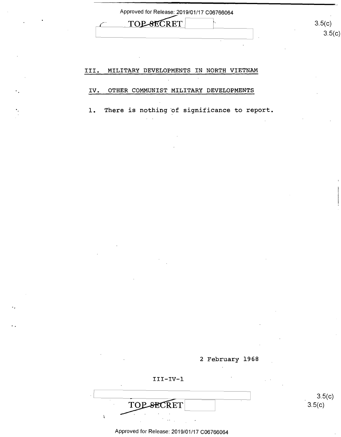| Approved for Release: 2019/01/17 C06766064 |        |
|--------------------------------------------|--------|
| TOP-SECRET                                 | 3.5(c) |
|                                            | つ に    |

## III. MILITARY DEVELOPMENTS IN NORTH VIETNAM

#### **IV. OTHER COMMUNIST MILITARY DEVELOPMENTS**  IV. OTHER COMMUNIST MILITARY DEVELOPMENTS

1. There is nothing of significance to report.



3.5(c)

3.5(c)

. Even the contract of the contract of the contract of the contract of the contract of the contract of the contract of the contract of the contract of the contract of the contract of the contract of the contract of the co **TOP-SECRET**  $\hat{\mathbf{r}}$ 

**III-IV-1**  III—IV—l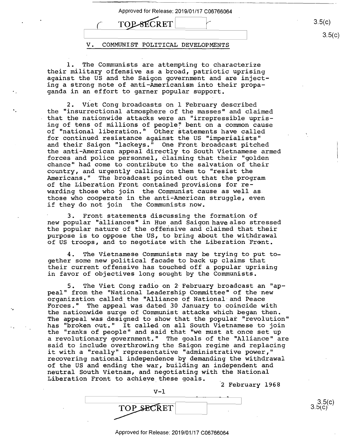Approved for Release: 2019/01/17 C06766064 Approved for Release: 2019/01/17 006766064 **TOP-SECRET V. COMMUNIST POLITICAL DEVELOPMENTS**  V. COMMUNIST POLITICAL DEVELOPMENTS  $3.5(c)$ 3.5(c)  $\sim$  TOP-SECRET  $\sim$  $3.5(c)$ 

1. The Communists are attempting to characterize 1. The Communists are attempting to characterize their military offensive as a broad, patriotic uprising their military offensive as <sup>a</sup> broad, patriotic uprising against the US and the Saigon government and are inject-against the US and the Saigon government and are injecting a strong note of anti-Americanism into their propa-ing <sup>a</sup> strong note ofanti—Americanism into their prOpaganda in an effort to garner popular support. ganda in an effort to garner p0pular support.

2. Viet Cong broadcasts on 1 February described 2. Viet Cong broadcasts on 1 February described the "insurrectional atmosphere of the masses" and claimed the "insurrectional atmosphere of the masses" and claimed that the nationwide attacks were an "irrepressible upris-that the nationwide attacks were an "irrepressible uprising of tens of millions of people!' bent on a common cause ing of tens of millions of people? bent on <sup>a</sup> common cause of "national liberation.'' Other statements have called of "national liberation." Other statements have called for continued resistance against the US "imperialists" for continued resistance against the US "imperialists" and their Saigon "lackeys." One Front broadcast pitched and their Saigon "lackeys." One Front broadcast pitched the anti-American appeal directly to South Vietnamese armed the anti—American appeal directly to South Vietnamese armed forces and police personnel, claiming that their "golden forces and police personnel, claiming that their "golden chance" had come to contribute to the salvation of their chance" had come to cOntribute to the salvation of their country, and urgently calling on them to "resist the country, and urgently calling on them to"resist the Americans." The broadcast pointed out that the program Americans." The broadcast pointed out that the program of the Liberation Front contained provisions for re-of the Liberation Front contained provisions for re warding those who join the Communist cause as well as. warding those who join the Communist cause as well as. those who cooperate in the anti~American struggle, even those who cooperate in the antieAmerican struggle, even if they do not join the Communists now. if they do not join the Communists now.

3. Front statements discussing the formation of 3. Front statements discussing the formation of new popular "alliances" in Hue and Saigon have also stressed the popular nature of the offensive and claimed that their the popular nature of the offensive and claimed that their purpose is to oppose the US, to bring about the withdrawal purpose is to oppose the US, to bring about the withdrawal of US troops, and to negotiate with the Liberation ·Front. of US troops, and to negotiate with the Liberation Front.

4. The Vietnamese Communists may be trying to put to-4. The Vietnamese Communists may be trying to put to gether some new political facade to back up claims that gether some new political facade to back up claims that their current offensive has touched off a popular uprising their current offensive has touched off <sup>a</sup> popular uprising in favor of objectives long sought by the Communists. in favor of objectives long sought by the Communists.

5. The Viet Cong radio on 2· February broadcast an "ap-5. The Viet Cong radio on 2 February broadcast an "ap peal" from the "National Leadership Committee" of the new pour more interesting constraint conditions of the new more component of the second called the "Alliance of National and Peace Forces." The appeal was dated 30 January to coincide with Forces." The appeal was dated 30 January to coincide with the nationwide surge of Communist attacks which began then. The appeal was designed to show that the popular "revolution" The appeal was designed to show that the pOpular "revolution" has "broken out." It called on all South Vietnamese to join has "broken out." It called on all South Vietnamese to join<br>the "ranks of people" and said that "we must at once set up a revolutionary government." The goals of the "Alliance" are <sup>a</sup> revolutionary government." The goals of the "Alliance'' are sa1d to include overthrowing the Saigon regime and replacing said to include overthrowing the Saigon regime and replacing it with a "really" representative "administrative power," it with <sup>a</sup> "really" representative "administrative power," recovering national independence by demanding the withdrawal recovering national independence by demanding the withdrawal of the US and ending the war, building an independent and of the US and ending the war, building an independent and neutral South Vietnam, and negotiating with the National neutral South Vietnam, and negotiating with the National Liberation Front to achieve these goals. Liberation Front to achieve these goals. \_ the "ranks of people" and said that "we must at once set up

2 February 1968 2 February 1968

3.5(c) *3.btC)* 

<u>1990 - Jan Jawa</u>  $\begin{array}{c|c}\n\hline\n\text{TOP} & \text{SECTION} \\
\hline\n\text{S5(c)} & \text{3.5(c)}\n\end{array}$ 

**V-1**  V—l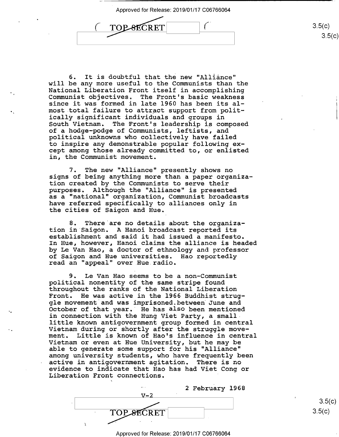$\Gamma$ OP-8ECRET  $\overline{\phantom{a}}$  $\boxed{C}$  $\overline{C}$  TOP-SECRET  $\overline{C}$  (3.5(c) Art<br>TO

6. It is doubtful that the new "Alliance" 6. It is doubtful that the new "Alliance" will be any more useful to the Communists than the will be any more useful to the Communists than the National Liberation Front itself in accomplishing National Liberation Front itself in accomplishing Communist objectives& The Front's basic weakness Communist objectives. The Front's basic weakness since it was formed in late 1960 has been its al-since it was formed in late 1960 has been its alsince it was formed in face 1960 has been its af-<br>most total failure to attract support from politically significant individuals and groups in ically significant individuals and groups in rouiry significant individuatis and groups in the state of the state of the state of the state of the state of bouth vietnam. The front s feadership is composed<br>of a hodge-podge of Communists, leftists, and political unknowns who collectively have failed political unknowns who collectively have failed to inspire any demonstrable popular following ex-to inspire any demonstrable pOpular following except among those already committed to, or enlisted cept among those already committed to, or enlisted in, the Communist movement. in, the Communist movement.

7. The new "Alliance" presently shows no 7. The new "Alliance" presently shows no signs of being anything more than a paper organiza-signs of being anything more than <sup>a</sup> paper organiza tion created by the Communists to serve their tion created by the Communists to serve their purposes. Although the "Alliance" is presented purposes. Although the "Alliance'l is presented part contributions in the communist broadcasts a "national" organization, Communist broadcasts have referred specifically to alliances only in have referred specifically to alliances only in the cities of Saigon and Hue. the cities of Saigon and Hue.

8. There·are no details about the organiza-8. There'are no details about the organization in Saigon. A Hanoi broadcast reported its establishment and said it had issued a manifesto. establishment and said ithad issued a manifesto. In Hue, however, Hanoi claims the alliance is headed In Hue, however, Hanoi claims the alliance is headed by Le Van Hao, a doctor of ethnology and professor by Le Van Hao, <sup>a</sup> doctor of ethnology and professor of Saigon and Hue universities. Hao reportedly of Saigon and Hue universities. Hao reportedly read an "appeal" over .Hue.radio. read an "appeal" over Hue radio.

9. Le Van Hao seems to be a non-Communist 9. Le Van Hao seems to be a non—Communist political nonentity of the same stripe found political nonentity of the same stripe found throughout the ranks of the National Liberation throughout the ranks of the National Liberation Front. He was active in the 1966 Buddhist strug-Front. He was active in the 1966.Buddhist strug gle movement and was imprisoned.between June and gic movement and was imprisoned souween sand and<br>October of that year. He has also been mentioned in connection with the Hung Viet Party, a small-in connection with the Hung Viet Party, <sup>a</sup> smalllittle known antigovernment group formed in central little known antigovernment group formed in central Vietnam during or shortly after the struggle move-Vietnam during or shortly after the struggle movement. Little is known of Hao's influence in central ment. Little is known of Hao's influence in central Vietnam or even at Hue University, but he may be Vietnam or even at Hue University, but he may be able to generate some support for his "Alliance" able to generate some support for his "Alliance" among university students, who have frequently been among university students, who have frequently been among university statents, who have frequently been<br>active in antigovernment agitation. There is no evidence to indicate that Hao has had Viet Cong or evidence to indicate that Hao has had Viet Cong or Liberation Front connections. Liberation Front connections. '

> 2 February 1968 2 February 1968  $V-2$  3.5(c) TOP SECRET 3.5(c)

> > Approved for Release: 2019/01/17 C06766064 Approved for Release: 2019/01/17 006766064

3.5(c) 3.5(c)

 $3.5(c)$ 

3.5(c)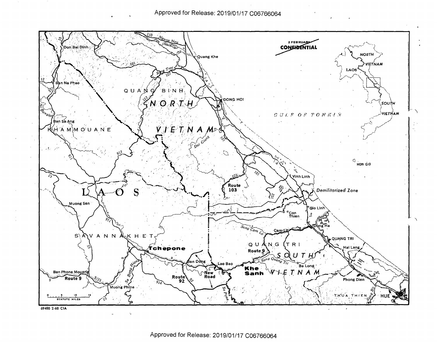